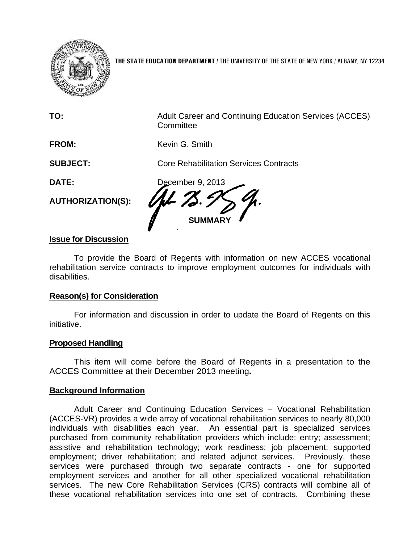

**THE STATE EDUCATION DEPARTMENT** / THE UNIVERSITY OF THE STATE OF NEW YORK / ALBANY, NY 12234

| TO:                      | Adult Career and Continuing Education Services (ACCES)<br>Committee |
|--------------------------|---------------------------------------------------------------------|
| <b>FROM:</b>             | Kevin G. Smith                                                      |
| <b>SUBJECT:</b>          | <b>Core Rehabilitation Services Contracts</b>                       |
| <b>DATE:</b>             | December 9, 2013                                                    |
| <b>AUTHORIZATION(S):</b> |                                                                     |
|                          | <b>SUMMA</b>                                                        |

# **Issue for Discussion**

 To provide the Board of Regents with information on new ACCES vocational rehabilitation service contracts to improve employment outcomes for individuals with disabilities.

### **Reason(s) for Consideration**

 For information and discussion in order to update the Board of Regents on this initiative.

### **Proposed Handling**

 This item will come before the Board of Regents in a presentation to the ACCES Committee at their December 2013 meeting**.** 

### **Background Information**

 Adult Career and Continuing Education Services – Vocational Rehabilitation (ACCES-VR) provides a wide array of vocational rehabilitation services to nearly 80,000 individuals with disabilities each year. An essential part is specialized services purchased from community rehabilitation providers which include: entry; assessment; assistive and rehabilitation technology; work readiness; job placement; supported employment; driver rehabilitation; and related adjunct services. Previously, these services were purchased through two separate contracts - one for supported employment services and another for all other specialized vocational rehabilitation services. The new Core Rehabilitation Services (CRS) contracts will combine all of these vocational rehabilitation services into one set of contracts. Combining these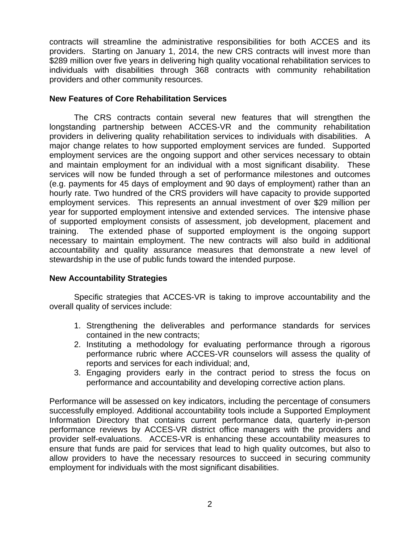contracts will streamline the administrative responsibilities for both ACCES and its providers. Starting on January 1, 2014, the new CRS contracts will invest more than \$289 million over five years in delivering high quality vocational rehabilitation services to individuals with disabilities through 368 contracts with community rehabilitation providers and other community resources.

### **New Features of Core Rehabilitation Services**

 The CRS contracts contain several new features that will strengthen the longstanding partnership between ACCES-VR and the community rehabilitation providers in delivering quality rehabilitation services to individuals with disabilities. A major change relates to how supported employment services are funded. Supported employment services are the ongoing support and other services necessary to obtain and maintain employment for an individual with a most significant disability. These services will now be funded through a set of performance milestones and outcomes (e.g. payments for 45 days of employment and 90 days of employment) rather than an hourly rate. Two hundred of the CRS providers will have capacity to provide supported employment services. This represents an annual investment of over \$29 million per year for supported employment intensive and extended services. The intensive phase of supported employment consists of assessment, job development, placement and training. The extended phase of supported employment is the ongoing support necessary to maintain employment. The new contracts will also build in additional accountability and quality assurance measures that demonstrate a new level of stewardship in the use of public funds toward the intended purpose.

# **New Accountability Strategies**

Specific strategies that ACCES-VR is taking to improve accountability and the overall quality of services include:

- 1. Strengthening the deliverables and performance standards for services contained in the new contracts;
- 2. Instituting a methodology for evaluating performance through a rigorous performance rubric where ACCES-VR counselors will assess the quality of reports and services for each individual; and,
- 3. Engaging providers early in the contract period to stress the focus on performance and accountability and developing corrective action plans.

Performance will be assessed on key indicators, including the percentage of consumers successfully employed. Additional accountability tools include a Supported Employment Information Directory that contains current performance data, quarterly in-person performance reviews by ACCES-VR district office managers with the providers and provider self-evaluations. ACCES-VR is enhancing these accountability measures to ensure that funds are paid for services that lead to high quality outcomes, but also to allow providers to have the necessary resources to succeed in securing community employment for individuals with the most significant disabilities.